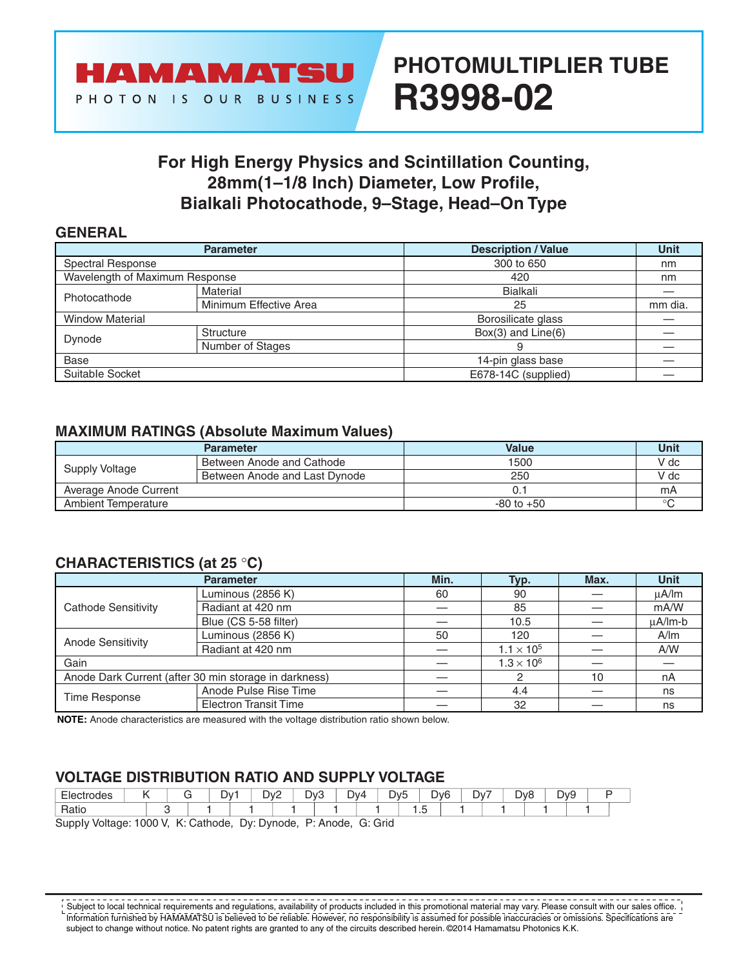

# **PHOTOMULTIPLIER TUBE R3998-02**

### **For High Energy Physics and Scintillation Counting, 28mm(1–1/8 Inch) Diameter, Low Profile, Bialkali Photocathode, 9–Stage, Head–On Type**

### **GENERAL**

| <b>Parameter</b>               |                        | <b>Description / Value</b> | <b>Unit</b> |
|--------------------------------|------------------------|----------------------------|-------------|
| Spectral Response              |                        | 300 to 650                 | nm          |
| Wavelength of Maximum Response |                        | 420                        | nm          |
| Photocathode                   | Material               | Bialkali                   |             |
|                                | Minimum Effective Area | 25                         | mm dia.     |
| <b>Window Material</b>         |                        | Borosilicate glass         |             |
|                                | Structure              | $Box(3)$ and $Line(6)$     |             |
| Dynode                         | Number of Stages       | 9                          |             |
| Base                           |                        | 14-pin glass base          |             |
| Suitable Socket                |                        | E678-14C (supplied)        |             |

### **MAXIMUM RATINGS (Absolute Maximum Values)**

|                       | <b>Parameter</b>              | Value          | Unit    |
|-----------------------|-------------------------------|----------------|---------|
| Supply Voltage        | Between Anode and Cathode     | 1500           | V dc    |
|                       | Between Anode and Last Dynode | 250            | V dc    |
| Average Anode Current |                               |                | mA      |
| Ambient Temperature   |                               | $-80$ to $+50$ | $\circ$ |

### **CHARACTERISTICS (at 25** °**C)**

|                                                       | Min.                         | Typ.                | Max.                | <b>Unit</b> |              |
|-------------------------------------------------------|------------------------------|---------------------|---------------------|-------------|--------------|
|                                                       | Luminous (2856 K)            | 60                  | 90                  |             | $\mu$ A/Im   |
| Cathode Sensitivity                                   | Radiant at 420 nm            |                     | 85                  |             | mA/W         |
|                                                       | Blue (CS 5-58 filter)        |                     | 10.5                |             | $\mu$ A/Im-b |
| Anode Sensitivity                                     | Luminous (2856 K)            | 50                  | 120                 |             | A/m          |
|                                                       | Radiant at 420 nm            |                     | $1.1 \times 10^{5}$ |             | A/W          |
| Gain                                                  |                              | $1.3 \times 10^{6}$ |                     |             |              |
| Anode Dark Current (after 30 min storage in darkness) |                              |                     |                     | 10          | nA           |
| Time Response                                         | Anode Pulse Rise Time        |                     | 4.4                 |             | ns           |
|                                                       | <b>Electron Transit Time</b> |                     | 32                  |             | ns           |

**NOTE:** Anode characteristics are measured with the voItage distribution ratio shown below.

### **VOLTAGE DlSTRlBUTlON RATlO AND SUPPLY VOLTAGE**

| $-$<br>™trodes<br>HIA. |  | ∨ר<br>_ | Dv2<br>. <u>. .</u> | Dv3<br>- | Dv4 | <b>Dvh</b><br>$\overline{\phantom{a}}$ | Dv <sub>6</sub> | $\overline{\phantom{a}}$<br>$\mathcal{N}$<br>- | - | $\overline{\phantom{0}}$<br>$\overline{\phantom{a}}$<br>אענ<br>◡ | $\overline{\phantom{a}}$<br>λν9<br>- |  |
|------------------------|--|---------|---------------------|----------|-----|----------------------------------------|-----------------|------------------------------------------------|---|------------------------------------------------------------------|--------------------------------------|--|
| $D - 1$<br>Halll       |  |         |                     |          |     |                                        |                 |                                                |   |                                                                  |                                      |  |

SuppIy Voltage: 1000 V, K: Cathode, Dy: Dynode, P: Anode, G: Grid

Subject to local technical requirements and regulations, availability of products included in this promotional material may vary. Please consult with our sales office. Information furnished by HAMAMATSU is believed to be reliable. However, no responsibility is assumed for possible inaccuracies or omissions. Specifications are subject to change without notice. No patent rights are granted to any of the circuits described herein. ©2014 Hamamatsu Photonics K.K.